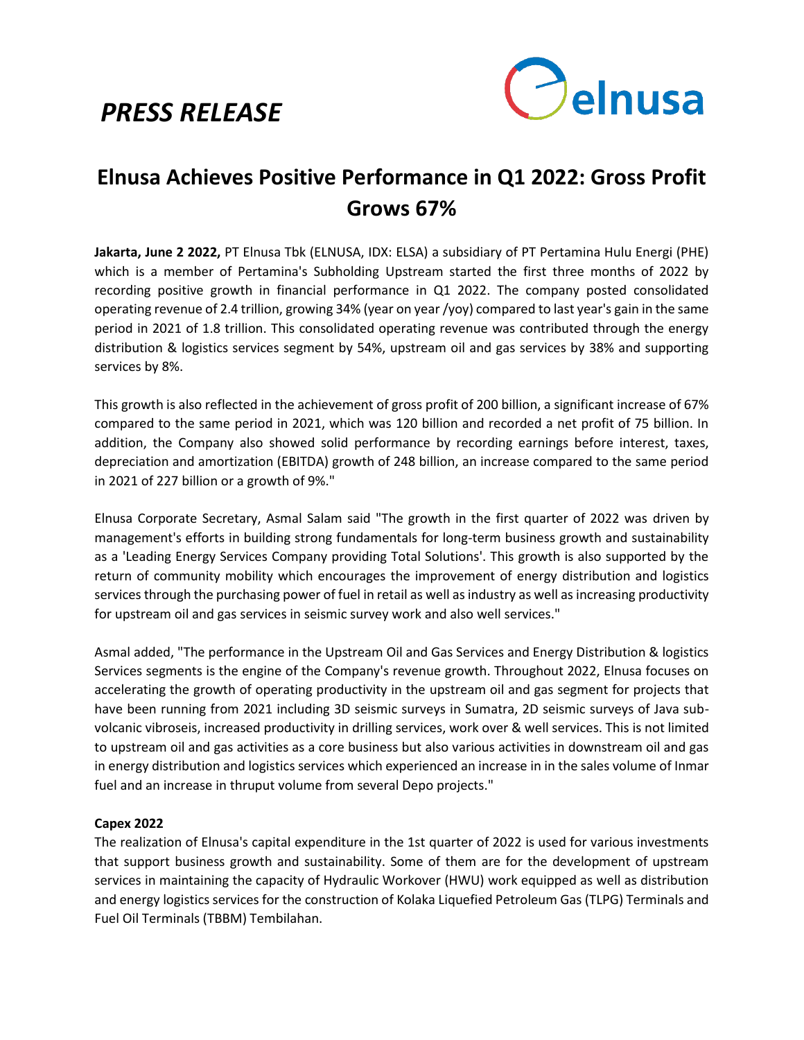# *PRESS RELEASE*



# **Elnusa Achieves Positive Performance in Q1 2022: Gross Profit Grows 67%**

**Jakarta, June 2 2022,** PT Elnusa Tbk (ELNUSA, IDX: ELSA) a subsidiary of PT Pertamina Hulu Energi (PHE) which is a member of Pertamina's Subholding Upstream started the first three months of 2022 by recording positive growth in financial performance in Q1 2022. The company posted consolidated operating revenue of 2.4 trillion, growing 34% (year on year /yoy) compared to last year's gain in the same period in 2021 of 1.8 trillion. This consolidated operating revenue was contributed through the energy distribution & logistics services segment by 54%, upstream oil and gas services by 38% and supporting services by 8%.

This growth is also reflected in the achievement of gross profit of 200 billion, a significant increase of 67% compared to the same period in 2021, which was 120 billion and recorded a net profit of 75 billion. In addition, the Company also showed solid performance by recording earnings before interest, taxes, depreciation and amortization (EBITDA) growth of 248 billion, an increase compared to the same period in 2021 of 227 billion or a growth of 9%."

Elnusa Corporate Secretary, Asmal Salam said "The growth in the first quarter of 2022 was driven by management's efforts in building strong fundamentals for long-term business growth and sustainability as a 'Leading Energy Services Company providing Total Solutions'. This growth is also supported by the return of community mobility which encourages the improvement of energy distribution and logistics services through the purchasing power of fuel in retail as well as industry as well as increasing productivity for upstream oil and gas services in seismic survey work and also well services."

Asmal added, "The performance in the Upstream Oil and Gas Services and Energy Distribution & logistics Services segments is the engine of the Company's revenue growth. Throughout 2022, Elnusa focuses on accelerating the growth of operating productivity in the upstream oil and gas segment for projects that have been running from 2021 including 3D seismic surveys in Sumatra, 2D seismic surveys of Java subvolcanic vibroseis, increased productivity in drilling services, work over & well services. This is not limited to upstream oil and gas activities as a core business but also various activities in downstream oil and gas in energy distribution and logistics services which experienced an increase in in the sales volume of Inmar fuel and an increase in thruput volume from several Depo projects."

## **Capex 2022**

The realization of Elnusa's capital expenditure in the 1st quarter of 2022 is used for various investments that support business growth and sustainability. Some of them are for the development of upstream services in maintaining the capacity of Hydraulic Workover (HWU) work equipped as well as distribution and energy logistics services for the construction of Kolaka Liquefied Petroleum Gas (TLPG) Terminals and Fuel Oil Terminals (TBBM) Tembilahan.